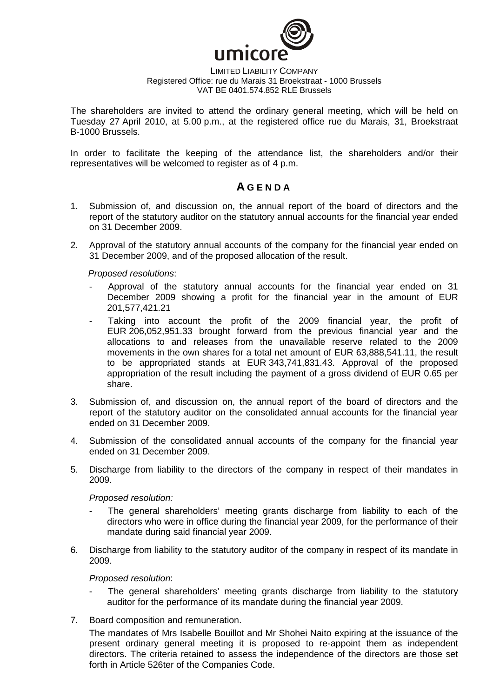

### LIMITED LIABILITY COMPANY Registered Office: rue du Marais 31 Broekstraat - 1000 Brussels VAT BE 0401.574.852 RLE Brussels

The shareholders are invited to attend the ordinary general meeting, which will be held on Tuesday 27 April 2010, at 5.00 p.m., at the registered office rue du Marais, 31, Broekstraat B-1000 Brussels.

In order to facilitate the keeping of the attendance list, the shareholders and/or their representatives will be welcomed to register as of 4 p.m.

# **A G E N D A**

- 1. Submission of, and discussion on, the annual report of the board of directors and the report of the statutory auditor on the statutory annual accounts for the financial year ended on 31 December 2009.
- 2. Approval of the statutory annual accounts of the company for the financial year ended on 31 December 2009, and of the proposed allocation of the result.

Proposed resolutions:

- Approval of the statutory annual accounts for the financial year ended on 31 December 2009 showing a profit for the financial year in the amount of EUR 201,577,421.21
- Taking into account the profit of the 2009 financial year, the profit of EUR 206,052,951.33 brought forward from the previous financial year and the allocations to and releases from the unavailable reserve related to the 2009 movements in the own shares for a total net amount of EUR 63,888,541.11, the result to be appropriated stands at EUR 343,741,831.43. Approval of the proposed appropriation of the result including the payment of a gross dividend of EUR 0.65 per share.
- 3. Submission of, and discussion on, the annual report of the board of directors and the report of the statutory auditor on the consolidated annual accounts for the financial year ended on 31 December 2009.
- 4. Submission of the consolidated annual accounts of the company for the financial year ended on 31 December 2009.
- 5. Discharge from liability to the directors of the company in respect of their mandates in 2009.

Proposed resolution:

- The general shareholders' meeting grants discharge from liability to each of the directors who were in office during the financial year 2009, for the performance of their mandate during said financial year 2009.
- 6. Discharge from liability to the statutory auditor of the company in respect of its mandate in 2009.

Proposed resolution:

- The general shareholders' meeting grants discharge from liability to the statutory auditor for the performance of its mandate during the financial year 2009.
- 7. Board composition and remuneration.

The mandates of Mrs Isabelle Bouillot and Mr Shohei Naito expiring at the issuance of the present ordinary general meeting it is proposed to re-appoint them as independent directors. The criteria retained to assess the independence of the directors are those set forth in Article 526ter of the Companies Code.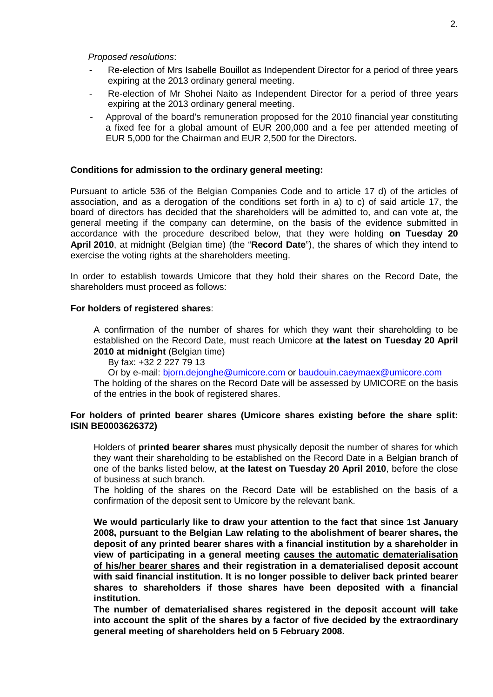Proposed resolutions:

- Re-election of Mrs Isabelle Bouillot as Independent Director for a period of three years expiring at the 2013 ordinary general meeting.
- Re-election of Mr Shohei Naito as Independent Director for a period of three years expiring at the 2013 ordinary general meeting.
- Approval of the board's remuneration proposed for the 2010 financial year constituting a fixed fee for a global amount of EUR 200,000 and a fee per attended meeting of EUR 5,000 for the Chairman and EUR 2,500 for the Directors.

## **Conditions for admission to the ordinary general meeting:**

Pursuant to article 536 of the Belgian Companies Code and to article 17 d) of the articles of association, and as a derogation of the conditions set forth in a) to c) of said article 17, the board of directors has decided that the shareholders will be admitted to, and can vote at, the general meeting if the company can determine, on the basis of the evidence submitted in accordance with the procedure described below, that they were holding **on Tuesday 20 April 2010**, at midnight (Belgian time) (the "**Record Date**"), the shares of which they intend to exercise the voting rights at the shareholders meeting.

In order to establish towards Umicore that they hold their shares on the Record Date, the shareholders must proceed as follows:

#### **For holders of registered shares**:

A confirmation of the number of shares for which they want their shareholding to be established on the Record Date, must reach Umicore **at the latest on Tuesday 20 April 2010 at midnight** (Belgian time)

By fax: +32 2 227 79 13

Or by e-mail: bjorn.dejonghe@umicore.com or baudouin.caeymaex@umicore.com

The holding of the shares on the Record Date will be assessed by UMICORE on the basis of the entries in the book of registered shares.

# **For holders of printed bearer shares (Umicore shares existing before the share split: ISIN BE0003626372)**

Holders of **printed bearer shares** must physically deposit the number of shares for which they want their shareholding to be established on the Record Date in a Belgian branch of one of the banks listed below, **at the latest on Tuesday 20 April 2010**, before the close of business at such branch.

The holding of the shares on the Record Date will be established on the basis of a confirmation of the deposit sent to Umicore by the relevant bank.

**We would particularly like to draw your attention to the fact that since 1st January 2008, pursuant to the Belgian Law relating to the abolishment of bearer shares, the deposit of any printed bearer shares with a financial institution by a shareholder in view of participating in a general meeting causes the automatic dematerialisation of his/her bearer shares and their registration in a dematerialised deposit account with said financial institution. It is no longer possible to deliver back printed bearer shares to shareholders if those shares have been deposited with a financial institution.** 

**The number of dematerialised shares registered in the deposit account will take into account the split of the shares by a factor of five decided by the extraordinary general meeting of shareholders held on 5 February 2008.**